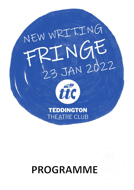

# **PROGRAMME**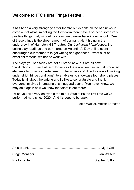### Welcome to TTC's first Fringe Festival!

It has been a very strange year for theatre but despite all the bad news to come out of what I'm calling the Covid-era there have also been some very positive things that, without lockdown we'd never have known about. One of these things is the sheer amount of dormant talent hiding in the undergrowth of Hampton Hill Theatre. Our *Lockdown Monologues*, the online play readings and our marathon Valentine's Day online event encouraged our members to get writing and goodness – what a lot of excellent material we had to work with!

The plays you see today are not all brand new, but are all new "productions". I use that term loosely as there are very few actual produced elements to today's entertainment. The writers and directors are all working under strict "fringe conditions", to enable us to showcase four strong pieces. Today is all about the writing and I'd like to congratulate and thank everyone involved in creating this inaugural event. You never know, we may do it again now we know the talent is out there!

I wish you all a very enjoyable trip to our Studio; it's the first time we've performed here since 2020. And it's good to be back.

Lottie Walker, Artistic Director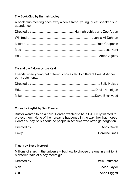#### The Book Club by Hannah Lobley

A book club meeting goes awry when a fresh, young, guest speaker is in attendance.

#### Tia and the Falcon by Loz Keal

Friends when young but different choices led to different lives. A dinner party catch up…

#### Conrad's Playlist by Ben Francis

Buster wanted to be a hero. Conrad wanted to be a DJ. Emily wanted to protect them. None of their dreams happened in the way they had hoped. Conrad's Playlist is about the people in America who often get forgotten.

| Emily |  |
|-------|--|

#### Theory by Steve Mackrell

Millions of stars in the universe – but how to choose the one in a million? A different tale of a boy meets girl.